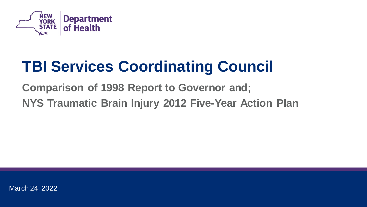

# **TBI Services Coordinating Council**

**Comparison of 1998 Report to Governor and; NYS Traumatic Brain Injury 2012 Five-Year Action Plan** 

March 24, 2022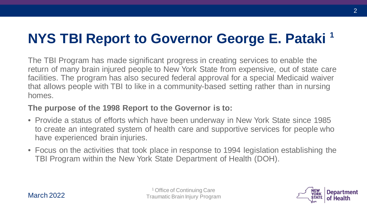# **NYS TBI Report to Governor George E. Pataki**<sup>1</sup>

The TBI Program has made significant progress in creating services to enable the return of many brain injured people to New York State from expensive, out of state care facilities. The program has also secured federal approval for a special Medicaid waiver that allows people with TBI to like in a community-based setting rather than in nursing homes.

#### **The purpose of the 1998 Report to the Governor is to:**

- Provide a status of efforts which have been underway in New York State since 1985 to create an integrated system of health care and supportive services for people who have experienced brain injuries.
- Focus on the activities that took place in response to 1994 legislation establishing the TBI Program within the New York State Department of Health (DOH).



1 Office of Continuing Care Traumatic Brain Injury Program

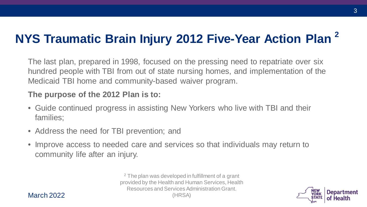## **NYS Traumatic Brain Injury 2012 Five-Year Action Plan <sup>2</sup>**

The last plan, prepared in 1998, focused on the pressing need to repatriate over six hundred people with TBI from out of state nursing homes, and implementation of the Medicaid TBI home and community-based waiver program.

#### **The purpose of the 2012 Plan is to:**

- Guide continued progress in assisting New Yorkers who live with TBI and their families;
- Address the need for TBI prevention; and
- Improve access to needed care and services so that individuals may return to community life after an injury.

<sup>2</sup> The plan was developed in fulfillment of a grant provided by the Health and Human Services, Health Resources and Services Administration Grant. (HRSA)



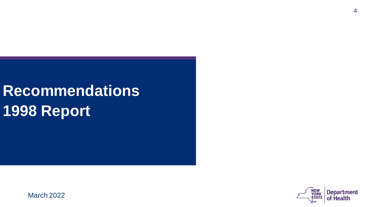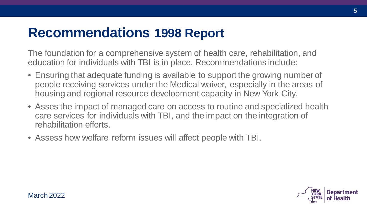The foundation for a comprehensive system of health care, rehabilitation, and education for individuals with TBI is in place. Recommendations include:

- Ensuring that adequate funding is available to support the growing number of people receiving services under the Medical waiver, especially in the areas of housing and regional resource development capacity in New York City.
- Asses the impact of managed care on access to routine and specialized health care services for individuals with TBI, and the impact on the integration of rehabilitation efforts.
- Assess how welfare reform issues will affect people with TBI.

March 2022



5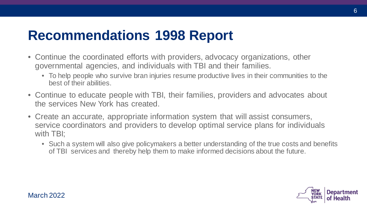- Continue the coordinated efforts with providers, advocacy organizations, other governmental agencies, and individuals with TBI and their families.
	- To help people who survive bran injuries resume productive lives in their communities to the best of their abilities.
- Continue to educate people with TBI, their families, providers and advocates about the services New York has created.
- Create an accurate, appropriate information system that will assist consumers, service coordinators and providers to develop optimal service plans for individuals with TBI;
	- Such a system will also give policymakers a better understanding of the true costs and benefits of TBI services and thereby help them to make informed decisions about the future.

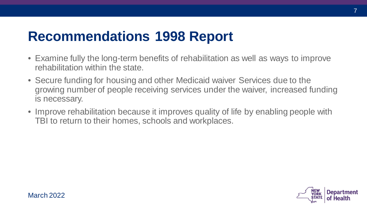- Examine fully the long-term benefits of rehabilitation as well as ways to improve rehabilitation within the state.
- Secure funding for housing and other Medicaid waiver Services due to the growing number of people receiving services under the waiver, increased funding is necessary.
- Improve rehabilitation because it improves quality of life by enabling people with TBI to return to their homes, schools and workplaces.



7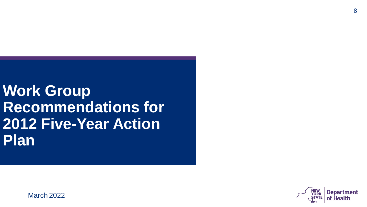**Work Group Recommendations for 2012 Five-Year Action Plan**

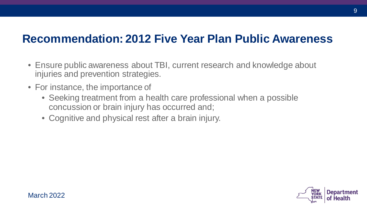### **Recommendation: 2012 Five Year Plan Public Awareness**

- Ensure public awareness about TBI, current research and knowledge about injuries and prevention strategies.
- For instance, the importance of
	- Seeking treatment from a health care professional when a possible concussion or brain injury has occurred and;
	- Cognitive and physical rest after a brain injury.

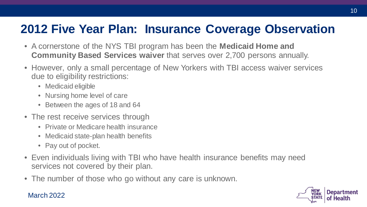### **2012 Five Year Plan: Insurance Coverage Observation**

- A cornerstone of the NYS TBI program has been the **Medicaid Home and Community Based Services waiver** that serves over 2,700 persons annually.
- However, only a small percentage of New Yorkers with TBI access waiver services due to eligibility restrictions:
	- Medicaid eligible
	- Nursing home level of care
	- Between the ages of 18 and 64
- The rest receive services through
	- Private or Medicare health insurance
	- Medicaid state-plan health benefits
	- Pay out of pocket.
- Even individuals living with TBI who have health insurance benefits may need services not covered by their plan.
- The number of those who go without any care is unknown.

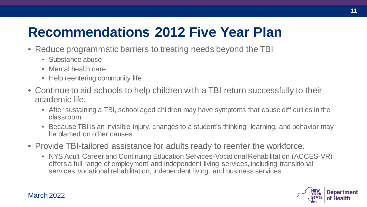## **Recommendations 2012 Five Year Plan**

- Reduce programmatic barriers to treating needs beyond the TBI
	- Substance abuse
	- Mental health care
	- Help reentering community life
- Continue to aid schools to help children with a TBI return successfully to their academic life.
	- After sustaining a TBI, school aged children may have symptoms that cause difficulties in the classroom.
	- Because TBI is an invisible injury, changes to a student's thinking, learning, and behavior may be blamed on other causes.
- Provide TBI-tailored assistance for adults ready to reenter the workforce.
	- NYS Adult Career and Continuing Education Services-Vocational Rehabilitation (ACCES-VR) offers a full range of employment and independent living services, including transitional services, vocational rehabilitation, independent living, and business services.

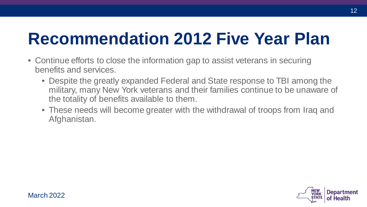# **Recommendation 2012 Five Year Plan**

- Continue efforts to close the information gap to assist veterans in securing benefits and services.
	- Despite the greatly expanded Federal and State response to TBI among the military, many New York veterans and their families continue to be unaware of the totality of benefits available to them.
	- These needs will become greater with the withdrawal of troops from Iraq and Afghanistan.



12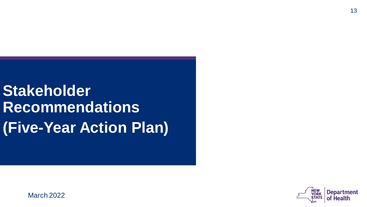**Stakeholder Recommendations (Five-Year Action Plan)**

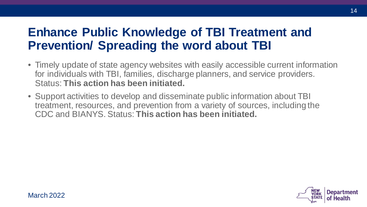### **Enhance Public Knowledge of TBI Treatment and Prevention/ Spreading the word about TBI**

- Timely update of state agency websites with easily accessible current information for individuals with TBI, families, discharge planners, and service providers. Status: **This action has been initiated.**
- Support activities to develop and disseminate public information about TBI treatment, resources, and prevention from a variety of sources, including the CDC and BIANYS. Status: **This action has been initiated.**



14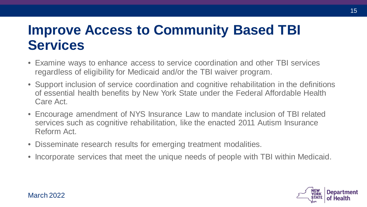## **Improve Access to Community Based TBI Services**

- Examine ways to enhance access to service coordination and other TBI services regardless of eligibility for Medicaid and/or the TBI waiver program.
- Support inclusion of service coordination and cognitive rehabilitation in the definitions of essential health benefits by New York State under the Federal Affordable Health Care Act.
- Encourage amendment of NYS Insurance Law to mandate inclusion of TBI related services such as cognitive rehabilitation, like the enacted 2011 Autism Insurance Reform Act.
- Disseminate research results for emerging treatment modalities.
- Incorporate services that meet the unique needs of people with TBI within Medicaid.



15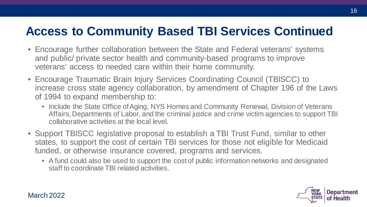### **Access to Community Based TBI Services Continued**

- Encourage further collaboration between the State and Federal veterans' systems and public/ private sector health and community-based programs to improve veterans' access to needed care within their home community.
- Encourage Traumatic Brain Injury Services Coordinating Council (TBISCC) to increase cross state agency collaboration, by amendment of Chapter 196 of the Laws of 1994 to expand membership to:
	- Include the State Office of Aging, NYS Homes and Community Renewal, Division of Veterans Affairs, Departments of Labor, and the criminal justice and crime victim agencies to support TBI collaborative activities at the local level.
- Support TBISCC legislative proposal to establish a TBI Trust Fund, similar to other states, to support the cost of certain TBI services for those not eligible for Medicaid funded, or otherwise insurance covered, programs and services.
	- A fund could also be used to support the cost of public information networks and designated staff to coordinate TBI related activities.

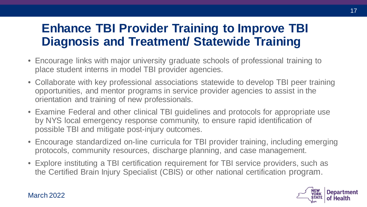### **Enhance TBI Provider Training to Improve TBI Diagnosis and Treatment/ Statewide Training**

- Encourage links with major university graduate schools of professional training to place student interns in model TBI provider agencies.
- Collaborate with key professional associations statewide to develop TBI peer training opportunities, and mentor programs in service provider agencies to assist in the orientation and training of new professionals.
- Examine Federal and other clinical TBI guidelines and protocols for appropriate use by NYS local emergency response community, to ensure rapid identification of possible TBI and mitigate post-injury outcomes.
- Encourage standardized on-line curricula for TBI provider training, including emerging protocols, community resources, discharge planning, and case management.
- Explore instituting a TBI certification requirement for TBI service providers, such as the Certified Brain Injury Specialist (CBIS) or other national certification program.

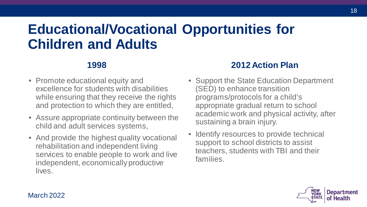## **Educational/Vocational Opportunities for Children and Adults**

### **1998**

- Promote educational equity and excellence for students with disabilities while ensuring that they receive the rights and protection to which they are entitled,
- Assure appropriate continuity between the child and adult services systems,
- And provide the highest quality vocational rehabilitation and independent living services to enable people to work and live independent, economically productive lives.

### **2012 Action Plan**

- Support the State Education Department (SED) to enhance transition programs/protocols for a child's appropriate gradual return to school academic work and physical activity, after sustaining a brain injury.
- Identify resources to provide technical support to school districts to assist teachers, students with TBI and their families.



18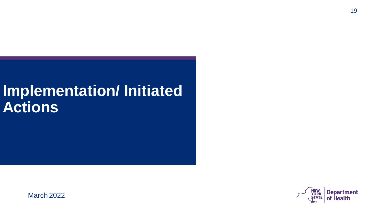# **Implementation/ Initiated Actions**

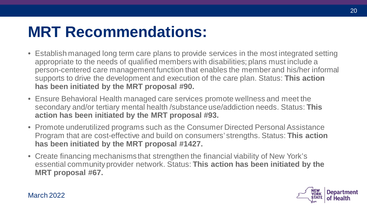# **MRT Recommendations:**

- Establish managed long term care plans to provide services in the most integrated setting appropriate to the needs of qualified members with disabilities; plans must include a person-centered care management function that enables the member and his/her informal supports to drive the development and execution of the care plan. Status: **This action has been initiated by the MRT proposal #90.**
- Ensure Behavioral Health managed care services promote wellness and meet the secondary and/or tertiary mental health /substance use/addiction needs. Status: **This action has been initiated by the MRT proposal #93.**
- Promote underutilized programs such as the Consumer Directed Personal Assistance Program that are cost-effective and build on consumers' strengths. Status: **This action has been initiated by the MRT proposal #1427.**
- Create financing mechanisms that strengthen the financial viability of New York's essential community provider network. Status: **This action has been initiated by the MRT proposal #67.**

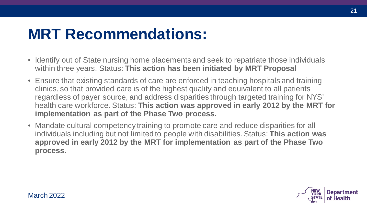# **MRT Recommendations:**

- Identify out of State nursing home placements and seek to repatriate those individuals within three years. Status: **This action has been initiated by MRT Proposal**
- Ensure that existing standards of care are enforced in teaching hospitals and training clinics, so that provided care is of the highest quality and equivalent to all patients regardless of payer source, and address disparities through targeted training for NYS' health care workforce. Status: **This action was approved in early 2012 by the MRT for implementation as part of the Phase Two process.**
- Mandate cultural competency training to promote care and reduce disparities for all individuals including but not limited to people with disabilities. Status: **This action was approved in early 2012 by the MRT for implementation as part of the Phase Two process.**

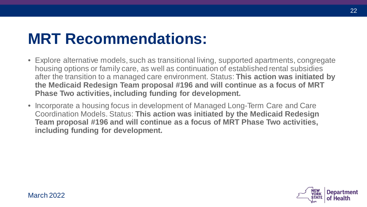# **MRT Recommendations:**

- Explore alternative models, such as transitional living, supported apartments, congregate housing options or family care, as well as continuation of established rental subsidies after the transition to a managed care environment. Status: **This action was initiated by the Medicaid Redesign Team proposal #196 and will continue as a focus of MRT Phase Two activities, including funding for development.**
- Incorporate a housing focus in development of Managed Long-Term Care and Care Coordination Models. Status: **This action was initiated by the Medicaid Redesign Team proposal #196 and will continue as a focus of MRT Phase Two activities, including funding for development.**